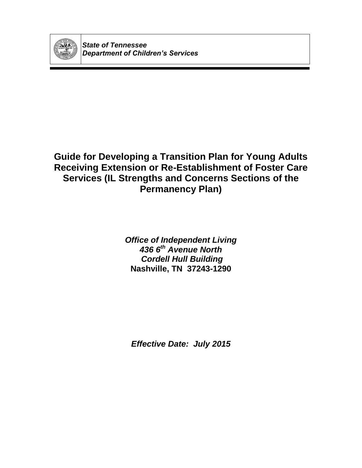

*State of Tennessee Department of Children's Services*

# **Guide for Developing a Transition Plan for Young Adults Receiving Extension or Re-Establishment of Foster Care Services (IL Strengths and Concerns Sections of the Permanency Plan)**

*Office of Independent Living 436 6th Avenue North Cordell Hull Building* **Nashville, TN 37243-1290**

*Effective Date: July 2015*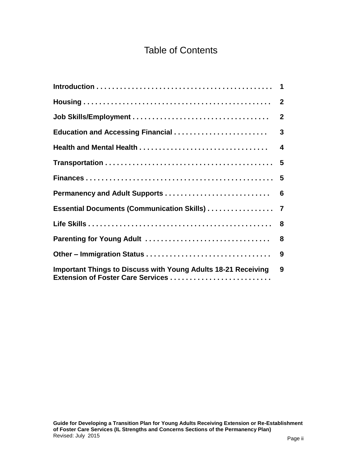# Table of Contents

|                                                                                                           | $\overline{2}$   |
|-----------------------------------------------------------------------------------------------------------|------------------|
|                                                                                                           | $\overline{3}$   |
|                                                                                                           | $\boldsymbol{4}$ |
|                                                                                                           |                  |
|                                                                                                           |                  |
|                                                                                                           |                  |
|                                                                                                           |                  |
|                                                                                                           |                  |
| Parenting for Young Adult                                                                                 | 8                |
|                                                                                                           | 9                |
| <b>Important Things to Discuss with Young Adults 18-21 Receiving</b><br>Extension of Foster Care Services | 9                |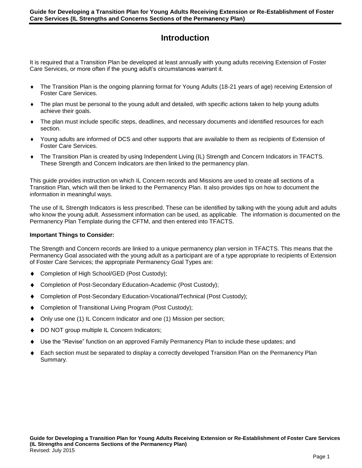# **Introduction**

It is required that a Transition Plan be developed at least annually with young adults receiving Extension of Foster Care Services, or more often if the young adult's circumstances warrant it.

- The Transition Plan is the ongoing planning format for Young Adults (18-21 years of age) receiving Extension of Foster Care Services.
- The plan must be personal to the young adult and detailed, with specific actions taken to help young adults achieve their goals.
- The plan must include specific steps, deadlines, and necessary documents and identified resources for each section.
- Young adults are informed of DCS and other supports that are available to them as recipients of Extension of Foster Care Services.
- The Transition Plan is created by using Independent Living (IL) Strength and Concern Indicators in TFACTS. These Strength and Concern Indicators are then linked to the permanency plan.

This guide provides instruction on which IL Concern records and Missions are used to create all sections of a Transition Plan, which will then be linked to the Permanency Plan. It also provides tips on how to document the information in meaningful ways.

The use of IL Strength Indicators is less prescribed. These can be identified by talking with the young adult and adults who know the young adult. Assessment information can be used, as applicable. The information is documented on the Permanency Plan Template during the CFTM, and then entered into TFACTS.

#### **Important Things to Consider:**

The Strength and Concern records are linked to a unique permanency plan version in TFACTS. This means that the Permanency Goal associated with the young adult as a participant are of a type appropriate to recipients of Extension of Foster Care Services; the appropriate Permanency Goal Types are:

- Completion of High School/GED (Post Custody);
- Completion of Post-Secondary Education-Academic (Post Custody);
- Completion of Post-Secondary Education-Vocational/Technical (Post Custody);
- Completion of Transitional Living Program (Post Custody);
- Only use one (1) IL Concern Indicator and one (1) Mission per section;
- DO NOT group multiple IL Concern Indicators;
- Use the "Revise" function on an approved Family Permanency Plan to include these updates; and
- Each section must be separated to display a correctly developed Transition Plan on the Permanency Plan Summary.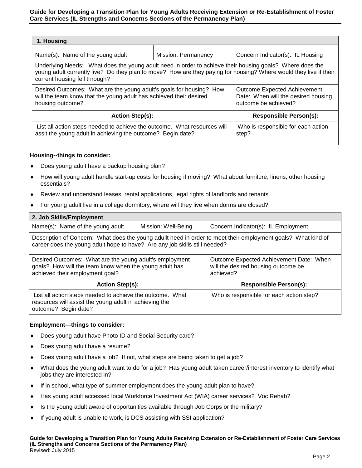| 1. Housing                                                                                                                                                                                                                                                     |                            |                                                                                                    |  |
|----------------------------------------------------------------------------------------------------------------------------------------------------------------------------------------------------------------------------------------------------------------|----------------------------|----------------------------------------------------------------------------------------------------|--|
| Name(s): Name of the young adult                                                                                                                                                                                                                               | <b>Mission: Permanency</b> | Concern Indicator(s): IL Housing                                                                   |  |
| Underlying Needs: What does the young adult need in order to achieve their housing goals? Where does the<br>young adult currently live? Do they plan to move? How are they paying for housing? Where would they live if their<br>current housing fell through? |                            |                                                                                                    |  |
| Desired Outcomes: What are the young adult's goals for housing? How<br>will the team know that the young adult has achieved their desired<br>housing outcome?                                                                                                  |                            | <b>Outcome Expected Achievement</b><br>Date: When will the desired housing<br>outcome be achieved? |  |
| <b>Action Step(s):</b>                                                                                                                                                                                                                                         |                            | <b>Responsible Person(s):</b>                                                                      |  |
| List all action steps needed to achieve the outcome. What resources will<br>assit the young adult in achieving the outcome? Begin date?                                                                                                                        |                            | Who is responsible for each action<br>step?                                                        |  |

# **Housing--things to consider:**

- Does young adult have a backup housing plan?
- How will young adult handle start-up costs for housing if moving? What about furniture, linens, other housing essentials?
- Review and understand leases, rental applications, legal rights of landlords and tenants
- For young adult live in a college dormitory, where will they live when dorms are closed?

| 2. Job Skills/Employment                                                                                                                                                                    |                     |                                                                                             |  |  |
|---------------------------------------------------------------------------------------------------------------------------------------------------------------------------------------------|---------------------|---------------------------------------------------------------------------------------------|--|--|
| Name(s): Name of the young adult                                                                                                                                                            | Mission: Well-Being | Concern Indicator(s): IL Employment                                                         |  |  |
| Description of Concern: What does the young adullt need in order to meet their employment goals? What kind of<br>career does the young adult hope to have? Are any job skills still needed? |                     |                                                                                             |  |  |
| Desired Outcomes: What are the young adult's employment<br>goals? How will the team know when the young adult has<br>achieved their employment goal?                                        |                     | Outcome Expected Achievement Date: When<br>will the desired housing outcome be<br>achieved? |  |  |
| <b>Action Step(s):</b>                                                                                                                                                                      |                     | <b>Responsible Person(s):</b>                                                               |  |  |
| List all action steps needed to achieve the outcome. What<br>resources will assist the young adult in achieving the<br>outcome? Begin date?                                                 |                     | Who is responsible for each action step?                                                    |  |  |

#### **Employment—things to consider:**

- Does young adult have Photo ID and Social Security card?
- Does young adult have a resume?
- Does young adult have a job? If not, what steps are being taken to get a job?
- What does the young adult want to do for a job? Has young adult taken career/interest inventory to identify what jobs they are interested in?
- If in school, what type of summer employment does the young adult plan to have?
- Has young adult accessed local Workforce Investment Act (WIA) career services? Voc Rehab?
- Is the young adult aware of opportunities available through Job Corps or the military?
- If young adult is unable to work, is DCS assisting with SSI application?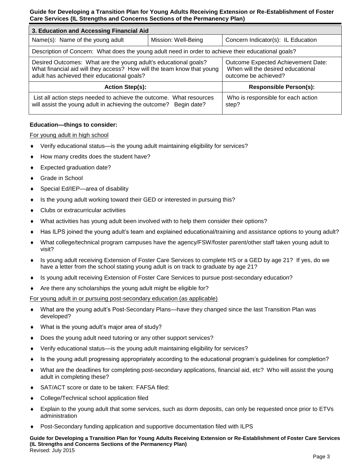| 3. Education and Accessing Financial Aid                                                                                                                                                 |                     |                                                                                                 |  |
|------------------------------------------------------------------------------------------------------------------------------------------------------------------------------------------|---------------------|-------------------------------------------------------------------------------------------------|--|
| Name(s): Name of the young adult                                                                                                                                                         | Mission: Well-Being | Concern Indicator(s): IL Education                                                              |  |
| Description of Concern: What does the young adult need in order to achieve their educational goals?                                                                                      |                     |                                                                                                 |  |
| Desired Outcomes: What are the young adult's educational goals?<br>What financial aid will they access? How will the team know that young<br>adult has achieved their educational goals? |                     | Outcome Expected Achievement Date:<br>When will the desired educational<br>outcome be achieved? |  |
| <b>Action Step(s):</b>                                                                                                                                                                   |                     | <b>Responsible Person(s):</b>                                                                   |  |
| List all action steps needed to achieve the outcome. What resources<br>will assist the young adult in achieving the outcome?<br>Begin date?                                              |                     | Who is responsible for each action<br>step?                                                     |  |

# **Education—things to consider:**

# For young adult in high school

- Verify educational status—is the young adult maintaining eligibility for services?
- How many credits does the student have?
- Expected graduation date?
- Grade in School
- Special Ed/IEP—area of disability
- Is the young adult working toward their GED or interested in pursuing this?
- Clubs or extracurricular activities
- What activities has young adult been involved with to help them consider their options?
- Has ILPS joined the young adult's team and explained educational/training and assistance options to young adult?
- What college/technical program campuses have the agency/FSW/foster parent/other staff taken young adult to visit?
- Is young adult receiving Extension of Foster Care Services to complete HS or a GED by age 21? If yes, do we have a letter from the school stating young adult is on track to graduate by age 21?
- ◆ Is young adult receiving Extension of Foster Care Services to pursue post-secondary education?
- Are there any scholarships the young adult might be eligible for?

For young adult in or pursuing post-secondary education (as applicable)

- What are the young adult's Post-Secondary Plans—have they changed since the last Transition Plan was developed?
- What is the young adult's major area of study?
- Does the young adult need tutoring or any other support services?
- Verify educational status—is the young adult maintaining eligibility for services?
- Is the young adult progressing appropriately according to the educational program's guidelines for completion?
- What are the deadlines for completing post-secondary applications, financial aid, etc? Who will assist the young adult in completing these?
- SAT/ACT score or date to be taken: FAFSA filed:
- College/Technical school application filed
- Explain to the young adult that some services, such as dorm deposits, can only be requested once prior to ETVs administration
- Post-Secondary funding application and supportive documentation filed with ILPS

**Guide for Developing a Transition Plan for Young Adults Receiving Extension or Re-Establishment of Foster Care Services (IL Strengths and Concerns Sections of the Permanency Plan)** Revised: July 2015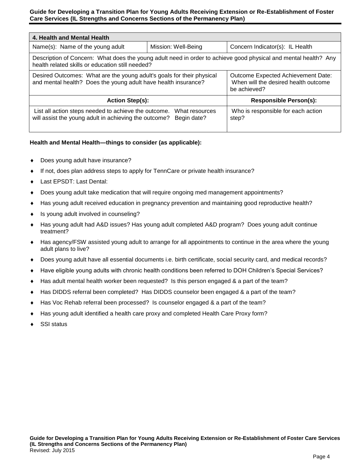| 4. Health and Mental Health                                                                                                                                         |                               |                                                                                                   |  |
|---------------------------------------------------------------------------------------------------------------------------------------------------------------------|-------------------------------|---------------------------------------------------------------------------------------------------|--|
| Name(s): Name of the young adult                                                                                                                                    | Mission: Well-Being           | Concern Indicator(s): IL Health                                                                   |  |
| Description of Concern: What does the young adult need in order to achieve good physical and mental health? Any<br>health related skills or education still needed? |                               |                                                                                                   |  |
| Desired Outcomes: What are the young adult's goals for their physical<br>and mental health? Does the young adult have health insurance?                             |                               | <b>Outcome Expected Achievement Date:</b><br>When will the desired health outcome<br>be achieved? |  |
| <b>Action Step(s):</b>                                                                                                                                              |                               | <b>Responsible Person(s):</b>                                                                     |  |
| List all action steps needed to achieve the outcome.<br>will assist the young adult in achieving the outcome?                                                       | What resources<br>Begin date? | Who is responsible for each action<br>step?                                                       |  |

# **Health and Mental Health—things to consider (as applicable):**

- Does young adult have insurance?
- If not, does plan address steps to apply for TennCare or private health insurance?
- Last EPSDT: Last Dental:
- Does young adult take medication that will require ongoing med management appointments?
- Has young adult received education in pregnancy prevention and maintaining good reproductive health?
- Is young adult involved in counseling?
- Has young adult had A&D issues? Has young adult completed A&D program? Does young adult continue treatment?
- Has agency/FSW assisted young adult to arrange for all appointments to continue in the area where the young adult plans to live?
- Does young adult have all essential documents i.e. birth certificate, social security card, and medical records?
- Have eligible young adults with chronic health conditions been referred to DOH Children's Special Services?
- Has adult mental health worker been requested? Is this person engaged & a part of the team?
- Has DIDDS referral been completed? Has DIDDS counselor been engaged & a part of the team?
- Has Voc Rehab referral been processed? Is counselor engaged & a part of the team?
- Has young adult identified a health care proxy and completed Health Care Proxy form?
- SSI status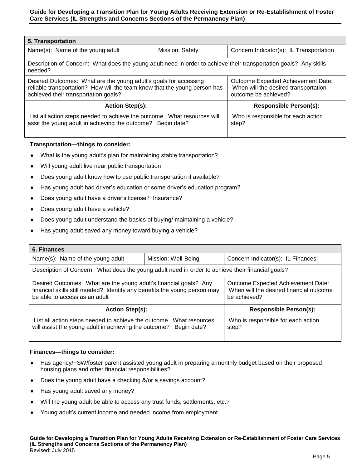| 5. Transportation                                                                                                                                                                     |                 |                                                                                                    |  |
|---------------------------------------------------------------------------------------------------------------------------------------------------------------------------------------|-----------------|----------------------------------------------------------------------------------------------------|--|
| Name(s): Name of the young adult                                                                                                                                                      | Mission: Safety | Concern Indicator(s): IL Transportation                                                            |  |
| Description of Concern: What does the young adult need in order to achieve their transportation goals? Any skills<br>needed?                                                          |                 |                                                                                                    |  |
| Desired Outcomes: What are the young adult's goals for accessing<br>reliable transportation? How will the team know that the young person has<br>achieved their transportation goals? |                 | Outcome Expected Achievement Date:<br>When will the desired transportation<br>outcome be achieved? |  |
| <b>Action Step(s):</b>                                                                                                                                                                |                 | <b>Responsible Person(s):</b>                                                                      |  |
| List all action steps needed to achieve the outcome. What resources will<br>assit the young adult in achieving the outcome? Begin date?                                               |                 | Who is responsible for each action<br>step?                                                        |  |

# **Transportation—things to consider:**

- What is the young adult's plan for maintaining stable transportation?
- Will young adult live near public transportation
- Does young adult know how to use public transportation if available?
- Has young adult had driver's education or some driver's education program?
- Does young adult have a driver's license? Insurance?
- Does young adult have a vehicle?
- Does young adult understand the basics of buying/ maintaining a vehicle?
- Has young adult saved any money toward buying a vehicle?

| 6. Finances                                                                                                                                                                     |                     |                                                                                               |  |
|---------------------------------------------------------------------------------------------------------------------------------------------------------------------------------|---------------------|-----------------------------------------------------------------------------------------------|--|
| Name(s): Name of the young adult                                                                                                                                                | Mission: Well-Being | Concern Indicator(s): IL Finances                                                             |  |
| Description of Concern: What does the young adult need in order to achieve their financial goals?                                                                               |                     |                                                                                               |  |
| Desired Outcomes: What are the young adult's financial goals? Any<br>financial skills still needed? Identify any benefits the young person may<br>be able to access as an adult |                     | Outcome Expected Achievement Date:<br>When will the desired financial outcome<br>be achieved? |  |
| <b>Action Step(s):</b>                                                                                                                                                          |                     | <b>Responsible Person(s):</b>                                                                 |  |
| List all action steps needed to achieve the outcome. What resources<br>will assist the young adult in achieving the outcome? Begin date?                                        |                     | Who is responsible for each action<br>step?                                                   |  |

#### **Finances—things to consider:**

- Has agency/FSW/foster parent assisted young adult in preparing a monthly budget based on their proposed housing plans and other financial responsibilities?
- Does the young adult have a checking &/or a savings account?
- Has young adult saved any money?
- Will the young adult be able to access any trust funds, settlements, etc.?
- Young adult's current income and needed income from employment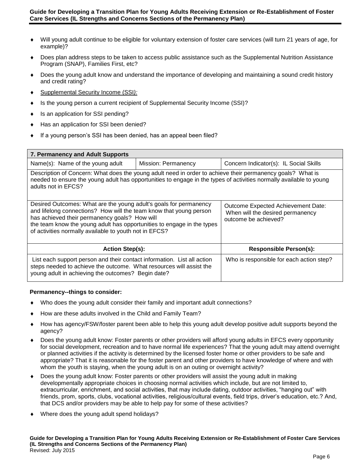- Will young adult continue to be eligible for voluntary extension of foster care services (will turn 21 years of age, for example)?
- Does plan address steps to be taken to access public assistance such as the Supplemental Nutrition Assistance Program (SNAP), Families First, etc?
- Does the young adult know and understand the importance of developing and maintaining a sound credit history and credit rating?
- Supplemental Security Income (SSI*):*
- ◆ Is the young person a current recipient of Supplemental Security Income (SSI)?
- Is an application for SSI pending?
- Has an application for SSI been denied?
- If a young person's SSI has been denied, has an appeal been filed?

| 7. Permanency and Adult Supports                                                                                                                                                                                                                                                                                             |                     |                                                                                                |  |
|------------------------------------------------------------------------------------------------------------------------------------------------------------------------------------------------------------------------------------------------------------------------------------------------------------------------------|---------------------|------------------------------------------------------------------------------------------------|--|
| Name(s): Name of the young adult                                                                                                                                                                                                                                                                                             | Mission: Permanency | Concern Indicator(s): IL Social Skills                                                         |  |
| Description of Concern: What does the young adult need in order to achieve their permanency goals? What is<br>needed to ensure the young adult has opportunities to engage in the types of activities normally available to young<br>adults not in EFCS?                                                                     |                     |                                                                                                |  |
| Desired Outcomes: What are the young adult's goals for permanency<br>and lifelong connections? How will the team know that young person<br>has achieved their permanency goals? How will<br>the team know the young adult has opportunities to engage in the types<br>of activities normally available to youth not in EFCS? |                     | Outcome Expected Achievement Date:<br>When will the desired permanency<br>outcome be achieved? |  |
| <b>Action Step(s):</b>                                                                                                                                                                                                                                                                                                       |                     | <b>Responsible Person(s):</b>                                                                  |  |
| List each support person and their contact information. List all action<br>steps needed to achieve the outcome. What resources will assist the<br>young adult in achieving the outcomes? Begin date?                                                                                                                         |                     | Who is responsible for each action step?                                                       |  |

#### **Permanency--things to consider:**

- Who does the young adult consider their family and important adult connections?
- How are these adults involved in the Child and Family Team?
- How has agency/FSW/foster parent been able to help this young adult develop positive adult supports beyond the agency?
- Does the young adult know: Foster parents or other providers will afford young adults in EFCS every opportunity for social development, recreation and to have normal life experiences? That the young adult may attend overnight or planned activities if the activity is determined by the licensed foster home or other providers to be safe and appropriate? That it is reasonable for the foster parent and other providers to have knowledge of where and with whom the youth is staying, when the young adult is on an outing or overnight activity?
- Does the young adult know: Foster parents or other providers will assist the young adult in making developmentally appropriate choices in choosing normal activities which include, but are not limited to, extracurricular, enrichment, and social activities, that may include dating, outdoor activities, "hanging out" with friends, prom, sports, clubs, vocational activities, religious/cultural events, field trips, driver's education, etc.? And, that DCS and/or providers may be able to help pay for some of these activities?
- Where does the young adult spend holidays?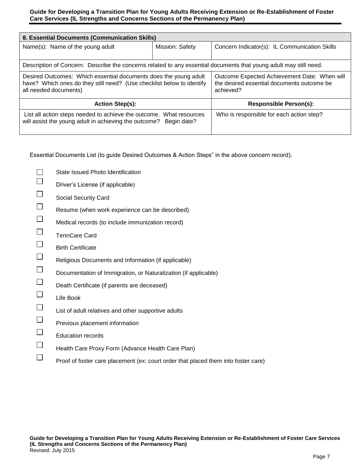| 8. Essential Documents (Communication Skills)                                                                                                                      |                 |                                                                                                         |  |
|--------------------------------------------------------------------------------------------------------------------------------------------------------------------|-----------------|---------------------------------------------------------------------------------------------------------|--|
| Name(s): Name of the young adult                                                                                                                                   | Mission: Safety | Concern Indicator(s): IL Communication Skills                                                           |  |
| Description of Concern: Describe the concerns related to any essential documents that young adult may still need.                                                  |                 |                                                                                                         |  |
| Desired Outcomes: Which essential documents does the young adult<br>have? Which ones do they still need? (Use checklist below to identify<br>all needed documents) |                 | Outcome Expected Achievement Date: When will<br>the desired essential documents outcome be<br>achieved? |  |
| <b>Action Step(s):</b>                                                                                                                                             |                 | <b>Responsible Person(s):</b>                                                                           |  |
| List all action steps needed to achieve the outcome. What resources<br>will assist the young adult in achieving the outcome?<br>Begin date?                        |                 | Who is responsible for each action step?                                                                |  |

Essential Documents List (to guide Desired Outcomes & Action Steps" in the above concern record).

|                | State Issued Photo Identification                                                  |
|----------------|------------------------------------------------------------------------------------|
|                | Driver's License (if applicable)                                                   |
|                | Social Security Card                                                               |
|                | Resume (when work experience can be described)                                     |
|                | Medical records (to include immunization record)                                   |
|                | <b>TennCare Card</b>                                                               |
| $\Box$         | <b>Birth Certificate</b>                                                           |
|                | Religious Documents and Information (if applicable)                                |
| $\mathbb{R}^n$ | Documentation of Immigration, or Naturalization (if applicable)                    |
|                | Death Certificate (if parents are deceased)                                        |
|                | Life Book                                                                          |
| $\Box$         | List of adult relatives and other supportive adults                                |
|                | Previous placement information                                                     |
|                | <b>Education records</b>                                                           |
|                | Health Care Proxy Form (Advance Health Care Plan)                                  |
|                | Proof of foster care placement (ex: court order that placed them into foster care) |
|                |                                                                                    |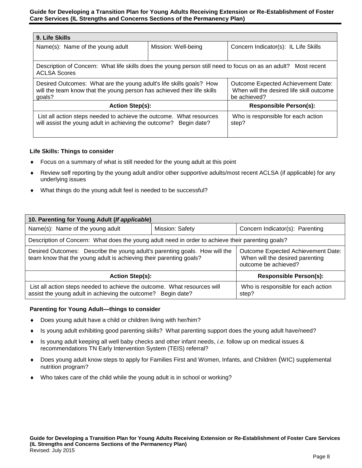| 9. Life Skills                                                                                                                                           |                     |                                                                                                |  |
|----------------------------------------------------------------------------------------------------------------------------------------------------------|---------------------|------------------------------------------------------------------------------------------------|--|
| Name(s): Name of the young adult                                                                                                                         | Mission: Well-being | Concern Indicator(s): IL Life Skills                                                           |  |
|                                                                                                                                                          |                     |                                                                                                |  |
| Description of Concern: What life skills does the young person still need to focus on as an adult?<br>Most recent<br><b>ACLSA Scores</b>                 |                     |                                                                                                |  |
| Desired Outcomes: What are the young adult's life skills goals? How<br>will the team know that the young person has achieved their life skills<br>qoals? |                     | Outcome Expected Achievement Date:<br>When will the desired life skill outcome<br>be achieved? |  |
| <b>Action Step(s):</b>                                                                                                                                   |                     | <b>Responsible Person(s):</b>                                                                  |  |
| List all action steps needed to achieve the outcome. What resources<br>will assist the young adult in achieving the outcome?<br>Begin date?              |                     | Who is responsible for each action<br>step?                                                    |  |

# **Life Skills: Things to consider**

- Focus on a summary of what is still needed for the young adult at this point
- Review self reporting by the young adult and/or other supportive adults/most recent ACLSA (if applicable) for any underlying issues
- What things do the young adult feel is needed to be successful?

| 10. Parenting for Young Adult (If applicable)                                                                                                    |                 |                                                                                               |  |
|--------------------------------------------------------------------------------------------------------------------------------------------------|-----------------|-----------------------------------------------------------------------------------------------|--|
| Name(s): Name of the young adult                                                                                                                 | Mission: Safety | Concern Indicator(s): Parenting                                                               |  |
| Description of Concern: What does the young adult need in order to achieve their parenting goals?                                                |                 |                                                                                               |  |
| Desired Outcomes: Describe the young adult's parenting goals. How will the<br>team know that the young adult is achieving their parenting goals? |                 | Outcome Expected Achievement Date:<br>When will the desired parenting<br>outcome be achieved? |  |
| <b>Action Step(s):</b>                                                                                                                           |                 | <b>Responsible Person(s):</b>                                                                 |  |
| List all action steps needed to achieve the outcome. What resources will<br>assist the young adult in achieving the outcome? Begin date?         |                 | Who is responsible for each action<br>step?                                                   |  |

#### **Parenting for Young Adult—things to consider**

- Does young adult have a child or children living with her/him?
- Is young adult exhibiting good parenting skills? What parenting support does the young adult have/need?
- Is young adult keeping all well baby checks and other infant needs, *i.e.* follow up on medical issues & recommendations TN Early Intervention System (TEIS) referral?
- Does young adult know steps to apply for Families First and Women, Infants, and Children (WIC) supplemental nutrition program?
- Who takes care of the child while the young adult is in school or working?